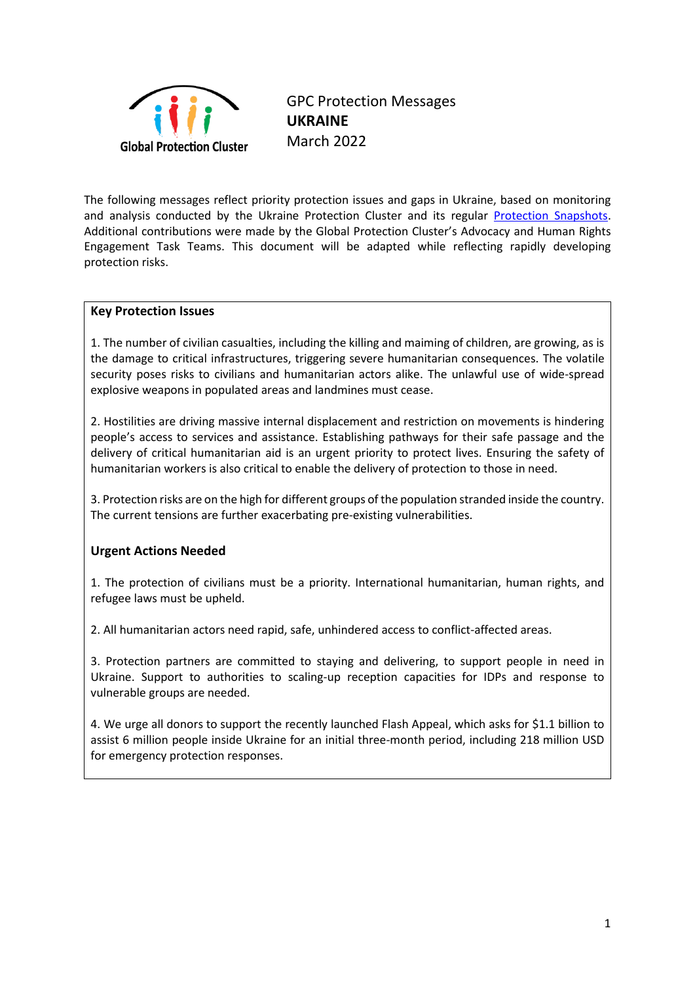

GPC Protection Messages **UKRAINE**  March 2022

The following messages reflect priority protection issues and gaps in Ukraine, based on monitoring and analysis conducted by the Ukraine Protection Cluster and its regular [Protection Snapshots.](https://www.globalprotectioncluster.org/2022/03/03/ukraine-crisis-protection-snapshot/) Additional contributions were made by the Global Protection Cluster's Advocacy and Human Rights Engagement Task Teams. This document will be adapted while reflecting rapidly developing protection risks.

## **Key Protection Issues**

1. The number of civilian casualties, including the killing and maiming of children, are growing, as is the damage to critical infrastructures, triggering severe humanitarian consequences. The volatile security poses risks to civilians and humanitarian actors alike. The unlawful use of wide-spread explosive weapons in populated areas and landmines must cease.

2. Hostilities are driving massive internal displacement and restriction on movements is hindering people's access to services and assistance. Establishing pathways for their safe passage and the delivery of critical humanitarian aid is an urgent priority to protect lives. Ensuring the safety of humanitarian workers is also critical to enable the delivery of protection to those in need.

3. Protection risks are on the high for different groups of the population stranded inside the country. The current tensions are further exacerbating pre-existing vulnerabilities.

## **Urgent Actions Needed**

1. The protection of civilians must be a priority. International humanitarian, human rights, and refugee laws must be upheld.

2. All humanitarian actors need rapid, safe, unhindered access to conflict-affected areas.

3. Protection partners are committed to staying and delivering, to support people in need in Ukraine. Support to authorities to scaling-up reception capacities for IDPs and response to vulnerable groups are needed.

4. We urge all donors to support the recently launched Flash Appeal, which asks for \$1.1 billion to assist 6 million people inside Ukraine for an initial three-month period, including 218 million USD for emergency protection responses.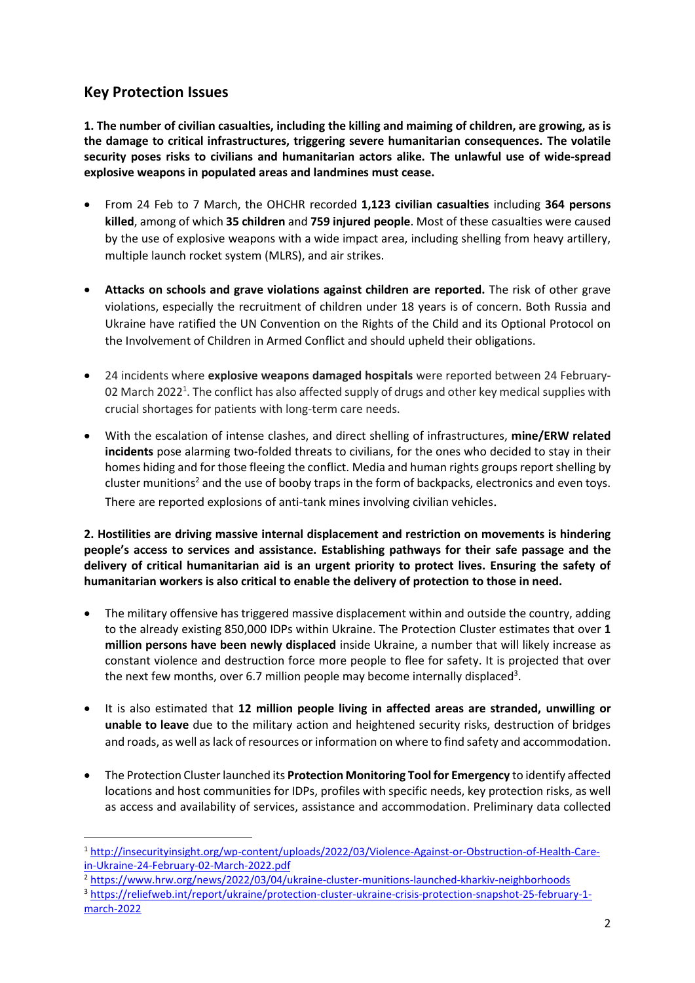# **Key Protection Issues**

**1. The number of civilian casualties, including the killing and maiming of children, are growing, as is the damage to critical infrastructures, triggering severe humanitarian consequences. The volatile security poses risks to civilians and humanitarian actors alike. The unlawful use of wide-spread explosive weapons in populated areas and landmines must cease.**

- From 24 Feb to 7 March, the OHCHR recorded **1,123 civilian casualties** including **364 persons killed**, among of which **35 children** and **759 injured people**. Most of these casualties were caused by the use of explosive weapons with a wide impact area, including shelling from heavy artillery, multiple launch rocket system (MLRS), and air strikes.
- **Attacks on schools and grave violations against children are reported.** The risk of other grave violations, especially the recruitment of children under 18 years is of concern. Both Russia and Ukraine have ratified the UN Convention on the Rights of the Child and its Optional Protocol on the Involvement of Children in Armed Conflict and should upheld their obligations.
- 24 incidents where **explosive weapons damaged hospitals** were reported between 24 February-02 March 2022<sup>1</sup>. The conflict has also affected supply of drugs and other key medical supplies with crucial shortages for patients with long-term care needs.
- With the escalation of intense clashes, and direct shelling of infrastructures, **mine/ERW related incidents** pose alarming two-folded threats to civilians, for the ones who decided to stay in their homes hiding and for those fleeing the conflict. Media and human rights groups report shelling by cluster munitions<sup>2</sup> and the use of booby traps in the form of backpacks, electronics and even toys. There are reported explosions of anti-tank mines involving civilian vehicles.

**2. Hostilities are driving massive internal displacement and restriction on movements is hindering people's access to services and assistance. Establishing pathways for their safe passage and the delivery of critical humanitarian aid is an urgent priority to protect lives. Ensuring the safety of humanitarian workers is also critical to enable the delivery of protection to those in need.**

- The military offensive has triggered massive displacement within and outside the country, adding to the already existing 850,000 IDPs within Ukraine. The Protection Cluster estimates that over **1 million persons have been newly displaced** inside Ukraine, a number that will likely increase as constant violence and destruction force more people to flee for safety. It is projected that over the next few months, over 6.7 million [people may become internally displaced](https://reliefweb.int/sites/reliefweb.int/files/resources/Ukraine%20Flash%20Appeal%202022.pdf)<sup>3</sup>.
- It is also estimated that **12 million people living in affected areas are stranded, unwilling or unable to leave** due to the military action and heightened security risks, destruction of bridges and roads, as well as lack of resources or information on where to find safety and accommodation.
- The Protection Cluster launched its **Protection Monitoring Tool for Emergency** to identify affected locations and host communities for IDPs, profiles with specific needs, key protection risks, as well as access and availability of services, assistance and accommodation. Preliminary data collected

<sup>2</sup> <https://www.hrw.org/news/2022/03/04/ukraine-cluster-munitions-launched-kharkiv-neighborhoods>

<sup>1</sup> [http://insecurityinsight.org/wp-content/uploads/2022/03/Violence-Against-or-Obstruction-of-Health-Care](http://insecurityinsight.org/wp-content/uploads/2022/03/Violence-Against-or-Obstruction-of-Health-Care-in-Ukraine-24-February-02-March-2022.pdf)[in-Ukraine-24-February-02-March-2022.pdf](http://insecurityinsight.org/wp-content/uploads/2022/03/Violence-Against-or-Obstruction-of-Health-Care-in-Ukraine-24-February-02-March-2022.pdf)

<sup>3</sup> [https://reliefweb.int/report/ukraine/protection-cluster-ukraine-crisis-protection-snapshot-25-february-1](https://reliefweb.int/report/ukraine/protection-cluster-ukraine-crisis-protection-snapshot-25-february-1-march-2022) [march-2022](https://reliefweb.int/report/ukraine/protection-cluster-ukraine-crisis-protection-snapshot-25-february-1-march-2022)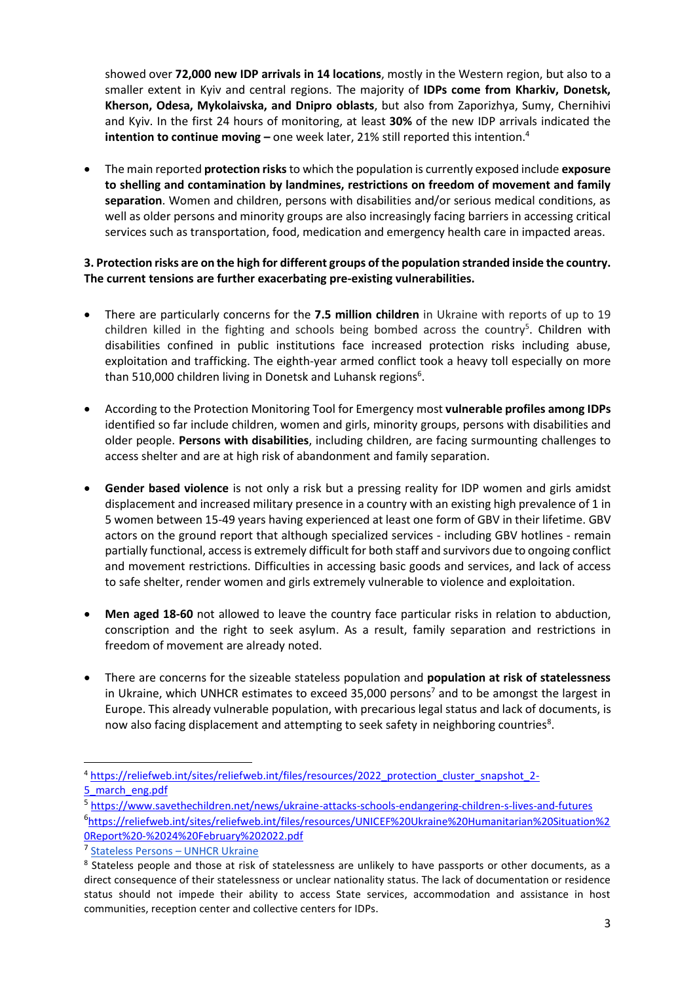showed over **72,000 new IDP arrivals in 14 locations**, mostly in the Western region, but also to a smaller extent in Kyiv and central regions. The majority of **IDPs come from Kharkiv, Donetsk, Kherson, Odesa, Mykolaivska, and Dnipro oblasts**, but also from Zaporizhya, Sumy, Chernihivi and Kyiv. In the first 24 hours of monitoring, at least **30%** of the new IDP arrivals indicated the **intention to continue moving –** one week later, 21% still reported this intention. 4

• The main reported **protection risks**to which the population is currently exposed include **exposure to shelling and contamination by landmines, restrictions on freedom of movement and family separation**. Women and children, persons with disabilities and/or serious medical conditions, as well as older persons and minority groups are also increasingly facing barriers in accessing critical services such as transportation, food, medication and emergency health care in impacted areas.

## **3. Protection risks are on the high for different groups of the population stranded inside the country. The current tensions are further exacerbating pre-existing vulnerabilities.**

- There are particularly concerns for the **7.5 million children** in Ukraine with reports of up to 19 children killed in the fighting and schools being bombed across the country<sup>5</sup>. Children with disabilities confined in public institutions face increased protection risks including abuse, exploitation and trafficking. The eighth-year armed conflict took a heavy toll especially on more than 510,000 children living in Donetsk and Luhansk regions<sup>6</sup>.
- According to the Protection Monitoring Tool for Emergency most **vulnerable profiles among IDPs** identified so far include children, women and girls, minority groups, persons with disabilities and older people. **Persons with disabilities**, including children, are facing surmounting challenges to access shelter and are at high risk of abandonment and family separation.
- **Gender based violence** is not only a risk but a pressing reality for IDP women and girls amidst displacement and increased military presence in a country with an existing high prevalence of 1 in 5 women between 15-49 years having experienced at least one form of GBV in their lifetime. GBV actors on the ground report that although specialized services - including GBV hotlines - remain partially functional, access is extremely difficult for both staff and survivors due to ongoing conflict and movement restrictions. Difficulties in accessing basic goods and services, and lack of access to safe shelter, render women and girls extremely vulnerable to violence and exploitation.
- **Men aged 18-60** not allowed to leave the country face particular risks in relation to abduction, conscription and the right to seek asylum. As a result, family separation and restrictions in freedom of movement are already noted.
- There are concerns for the sizeable stateless population and **population at risk of statelessness** in Ukraine, which UNHCR estimates to exceed 35,000 persons<sup>7</sup> and to be amongst the largest in Europe. This already vulnerable population, with precarious legal status and lack of documents, is now also facing displacement and attempting to seek safety in neighboring countries<sup>8</sup>.

<sup>4</sup> [https://reliefweb.int/sites/reliefweb.int/files/resources/2022\\_protection\\_cluster\\_snapshot\\_2-](https://reliefweb.int/sites/reliefweb.int/files/resources/2022_protection_cluster_snapshot_2-5_march_eng.pdf) [5\\_march\\_eng.pdf](https://reliefweb.int/sites/reliefweb.int/files/resources/2022_protection_cluster_snapshot_2-5_march_eng.pdf)

<sup>5</sup> <https://www.savethechildren.net/news/ukraine-attacks-schools-endangering-children-s-lives-and-futures> 6 [https://reliefweb.int/sites/reliefweb.int/files/resources/UNICEF%20Ukraine%20Humanitarian%20Situation%2](https://reliefweb.int/sites/reliefweb.int/files/resources/UNICEF%20Ukraine%20Humanitarian%20Situation%20Report%20-%2024%20February%202022.pdf) [0Report%20-%2024%20February%202022.pdf](https://reliefweb.int/sites/reliefweb.int/files/resources/UNICEF%20Ukraine%20Humanitarian%20Situation%20Report%20-%2024%20February%202022.pdf)

<sup>&</sup>lt;sup>7</sup> [Stateless Persons](https://www.unhcr.org/ua/en/stateless-persons#:~:text=As%20of%202020%2C%20UNHCR%20estimates%20that%20there%20are,only%205%2C642%20stateless%20persons%20have%20a%20residence%20permit.) - UNHCR Ukraine

<sup>&</sup>lt;sup>8</sup> Stateless people and those at risk of statelessness are unlikely to have passports or other documents, as a direct consequence of their statelessness or unclear nationality status. The lack of documentation or residence status should not impede their ability to access State services, accommodation and assistance in host communities, reception center and collective centers for IDPs.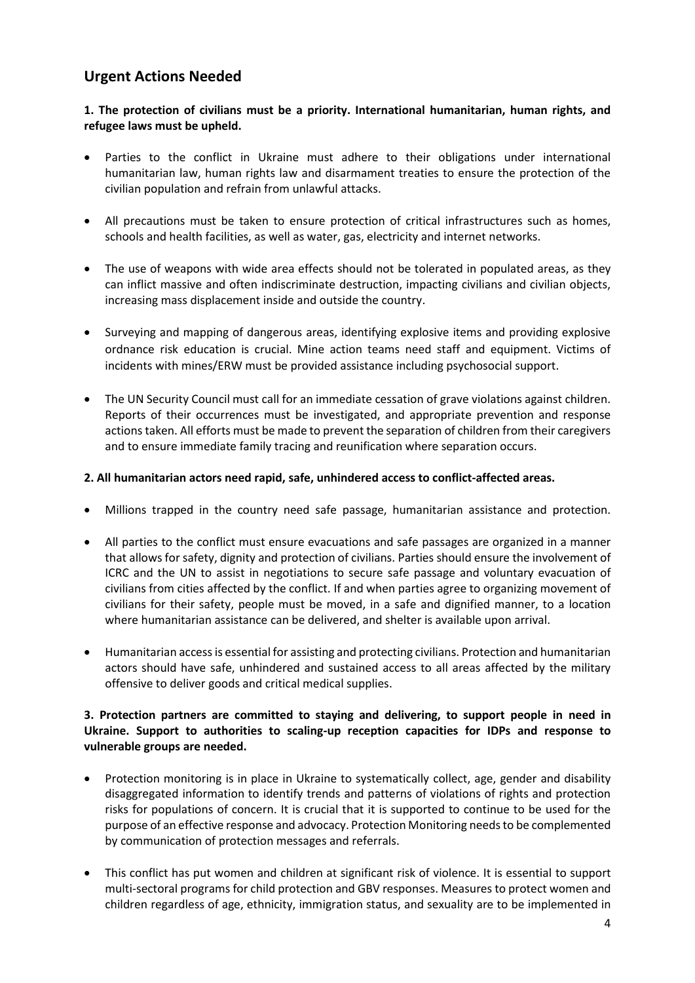# **Urgent Actions Needed**

## **1. The protection of civilians must be a priority. International humanitarian, human rights, and refugee laws must be upheld.**

- Parties to the conflict in Ukraine must adhere to their obligations under international humanitarian law, human rights law and disarmament treaties to ensure the protection of the civilian population and refrain from unlawful attacks.
- All precautions must be taken to ensure protection of critical infrastructures such as homes, schools and health facilities, as well as water, gas, electricity and internet networks.
- The use of weapons with wide area effects should not be tolerated in populated areas, as they can inflict massive and often indiscriminate destruction, impacting civilians and civilian objects, increasing mass displacement inside and outside the country.
- Surveying and mapping of dangerous areas, identifying explosive items and providing explosive ordnance risk education is crucial. Mine action teams need staff and equipment. Victims of incidents with mines/ERW must be provided assistance including psychosocial support.
- The UN Security Council must call for an immediate cessation of grave violations against children. Reports of their occurrences must be investigated, and appropriate prevention and response actions taken. All efforts must be made to prevent the separation of children from their caregivers and to ensure immediate family tracing and reunification where separation occurs.

#### **2. All humanitarian actors need rapid, safe, unhindered access to conflict-affected areas.**

- Millions trapped in the country need safe passage, humanitarian assistance and protection.
- All parties to the conflict must ensure evacuations and safe passages are organized in a manner that allows for safety, dignity and protection of civilians. Parties should ensure the involvement of ICRC and the UN to assist in negotiations to secure safe passage and voluntary evacuation of civilians from cities affected by the conflict. If and when parties agree to organizing movement of civilians for their safety, people must be moved, in a safe and dignified manner, to a location where humanitarian assistance can be delivered, and shelter is available upon arrival.
- Humanitarian access is essential for assisting and protecting civilians. Protection and humanitarian actors should have safe, unhindered and sustained access to all areas affected by the military offensive to deliver goods and critical medical supplies.

#### **3. Protection partners are committed to staying and delivering, to support people in need in Ukraine. Support to authorities to scaling-up reception capacities for IDPs and response to vulnerable groups are needed.**

- Protection monitoring is in place in Ukraine to systematically collect, age, gender and disability disaggregated information to identify trends and patterns of violations of rights and protection risks for populations of concern. It is crucial that it is supported to continue to be used for the purpose of an effective response and advocacy. Protection Monitoring needs to be complemented by communication of protection messages and referrals.
- This conflict has put women and children at significant risk of violence. It is essential to support multi-sectoral programs for child protection and GBV responses. Measures to protect women and children regardless of age, ethnicity, immigration status, and sexuality are to be implemented in